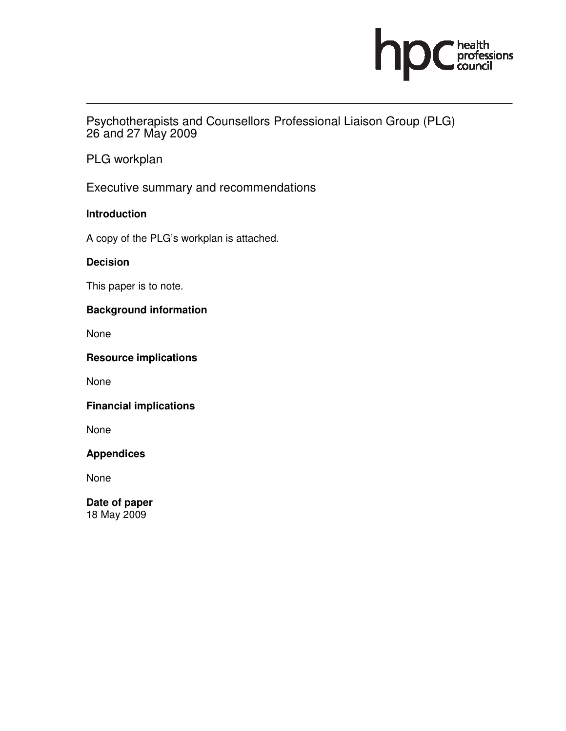

Psychotherapists and Counsellors Professional Liaison Group (PLG) 26 and 27 May 2009

PLG workplan

Executive summary and recommendations

**Introduction** 

A copy of the PLG's workplan is attached.

**Decision** 

This paper is to note.

# **Background information**

None

**Resource implications** 

None

**Financial implications** 

None

**Appendices** 

None

**Date of paper**  18 May 2009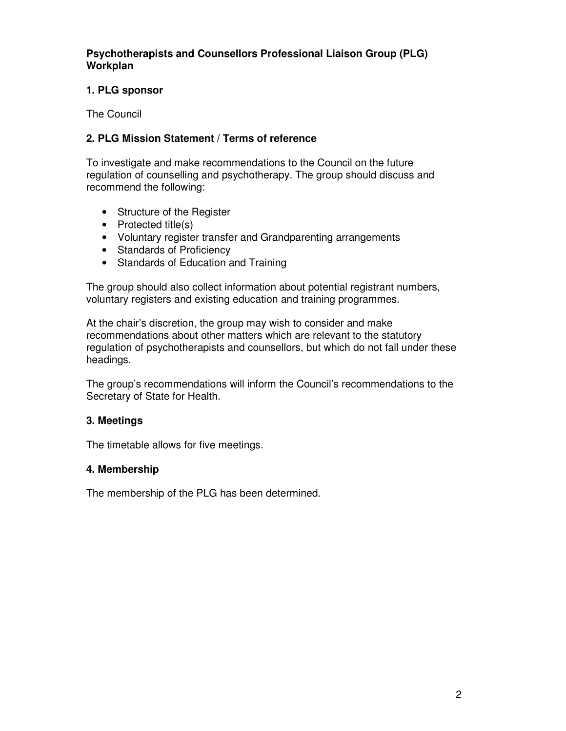**Psychotherapists and Counsellors Professional Liaison Group (PLG) Workplan** 

### **1. PLG sponsor**

The Council

## **2. PLG Mission Statement / Terms of reference**

To investigate and make recommendations to the Council on the future regulation of counselling and psychotherapy. The group should discuss and recommend the following:

- Structure of the Register
- Protected title(s)
- Voluntary register transfer and Grandparenting arrangements
- Standards of Proficiency
- Standards of Education and Training

The group should also collect information about potential registrant numbers, voluntary registers and existing education and training programmes.

At the chair's discretion, the group may wish to consider and make recommendations about other matters which are relevant to the statutory regulation of psychotherapists and counsellors, but which do not fall under these headings.

The group's recommendations will inform the Council's recommendations to the Secretary of State for Health.

### **3. Meetings**

The timetable allows for five meetings.

### **4. Membership**

The membership of the PLG has been determined.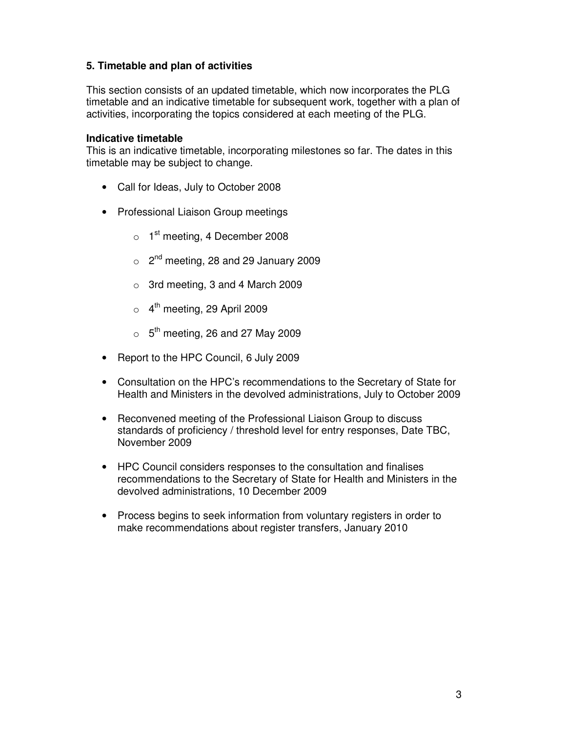## **5. Timetable and plan of activities**

This section consists of an updated timetable, which now incorporates the PLG timetable and an indicative timetable for subsequent work, together with a plan of activities, incorporating the topics considered at each meeting of the PLG.

#### **Indicative timetable**

This is an indicative timetable, incorporating milestones so far. The dates in this timetable may be subject to change.

- Call for Ideas, July to October 2008
- Professional Liaison Group meetings
	- $\circ$  1<sup>st</sup> meeting, 4 December 2008
	- $\circ$  2<sup>nd</sup> meeting, 28 and 29 January 2009
	- o 3rd meeting, 3 and 4 March 2009
	- $\circ$  4<sup>th</sup> meeting, 29 April 2009
	- $\circ$  5<sup>th</sup> meeting, 26 and 27 May 2009
- Report to the HPC Council, 6 July 2009
- Consultation on the HPC's recommendations to the Secretary of State for Health and Ministers in the devolved administrations, July to October 2009
- Reconvened meeting of the Professional Liaison Group to discuss standards of proficiency / threshold level for entry responses, Date TBC, November 2009
- HPC Council considers responses to the consultation and finalises recommendations to the Secretary of State for Health and Ministers in the devolved administrations, 10 December 2009
- Process begins to seek information from voluntary registers in order to make recommendations about register transfers, January 2010